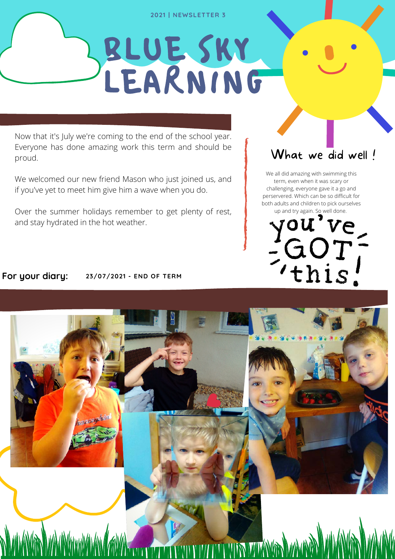#### **2021 | NEWSLETTER 3**

# BLUE SKY LEARNING

Now that it's July we're coming to the end of the school year. Everyone has done amazing work this term and should be proud.

We welcomed our new friend Mason who just joined us, and if you've yet to meet him give him a wave when you do.

Over the summer holidays remember to get plenty of rest, and stay hydrated in the hot weather.

## What we did well!

We all did amazing with swimming this term, even when it was scary or challenging, everyone gave it a go and perservered. Which can be so difficult for both adults and children to pick ourselves



### **For your diary: 23/07/2021 - END OF TERM**